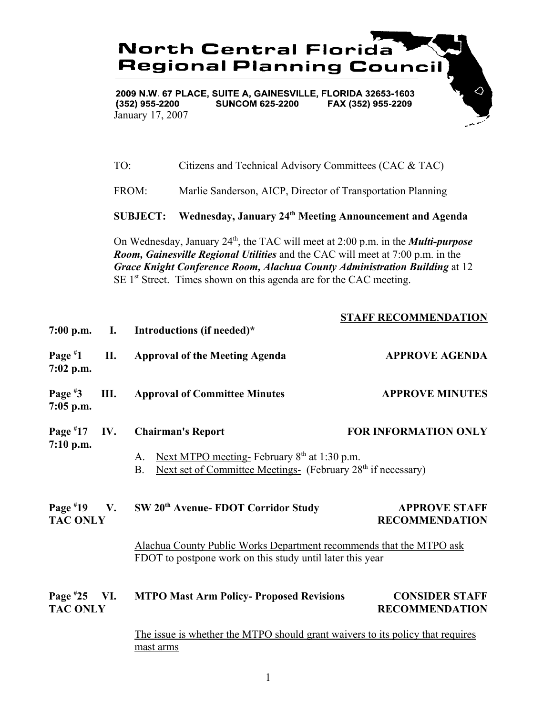**North Central Florida Regional Planning Council** 

2009 N.W. 67 PLACE, SUITE A, GAINESVILLE, FLORIDA 32653-1603  $(352)$  955-2200 **SUNCOM 625-2200** FAX (352) 955-2209 January 17, 2007

TO: Citizens and Technical Advisory Committees (CAC & TAC)

FROM: Marlie Sanderson, AICP, Director of Transportation Planning

**SUBJECT: Wednesday, January 24th Meeting Announcement and Agenda**

On Wednesday, January 24th, the TAC will meet at 2:00 p.m. in the *Multi-purpose Room, Gainesville Regional Utilities* and the CAC will meet at 7:00 p.m. in the *Grace Knight Conference Room, Alachua County Administration Building* at 12  $SE 1<sup>st</sup> Street. Times shown on this agenda are for the CAC meeting.$ 

**STAFF RECOMMENDATION**

| $7:00$ p.m.                       | $\mathbf{I}$ . | Introductions (if needed)*                                                                                                                   | STAFF RECOMMENDATION                           |
|-----------------------------------|----------------|----------------------------------------------------------------------------------------------------------------------------------------------|------------------------------------------------|
| Page $*1$<br>$7:02$ p.m.          | II.            | <b>Approval of the Meeting Agenda</b>                                                                                                        | <b>APPROVE AGENDA</b>                          |
| Page $*3$<br>$7:05$ p.m.          | Ш.             | <b>Approval of Committee Minutes</b>                                                                                                         | <b>APPROVE MINUTES</b>                         |
| Page $*17$<br>$7:10$ p.m.         | IV.            | <b>Chairman's Report</b>                                                                                                                     | <b>FOR INFORMATION ONLY</b>                    |
|                                   |                | Next MTPO meeting-February $8th$ at 1:30 p.m.<br>A.<br>Next set of Committee Meetings- (February 28 <sup>th</sup> if necessary)<br><b>B.</b> |                                                |
| Page $*19$ V.<br><b>TAC ONLY</b>  |                | SW 20 <sup>th</sup> Avenue- FDOT Corridor Study                                                                                              | <b>APPROVE STAFF</b><br><b>RECOMMENDATION</b>  |
|                                   |                | Alachua County Public Works Department recommends that the MTPO ask<br>FDOT to postpone work on this study until later this year             |                                                |
| Page $*25$ VI.<br><b>TAC ONLY</b> |                | <b>MTPO Mast Arm Policy- Proposed Revisions</b>                                                                                              | <b>CONSIDER STAFF</b><br><b>RECOMMENDATION</b> |
|                                   |                | The issue is whether the MTPO should grant waivers to its policy that requires<br>mast arms                                                  |                                                |